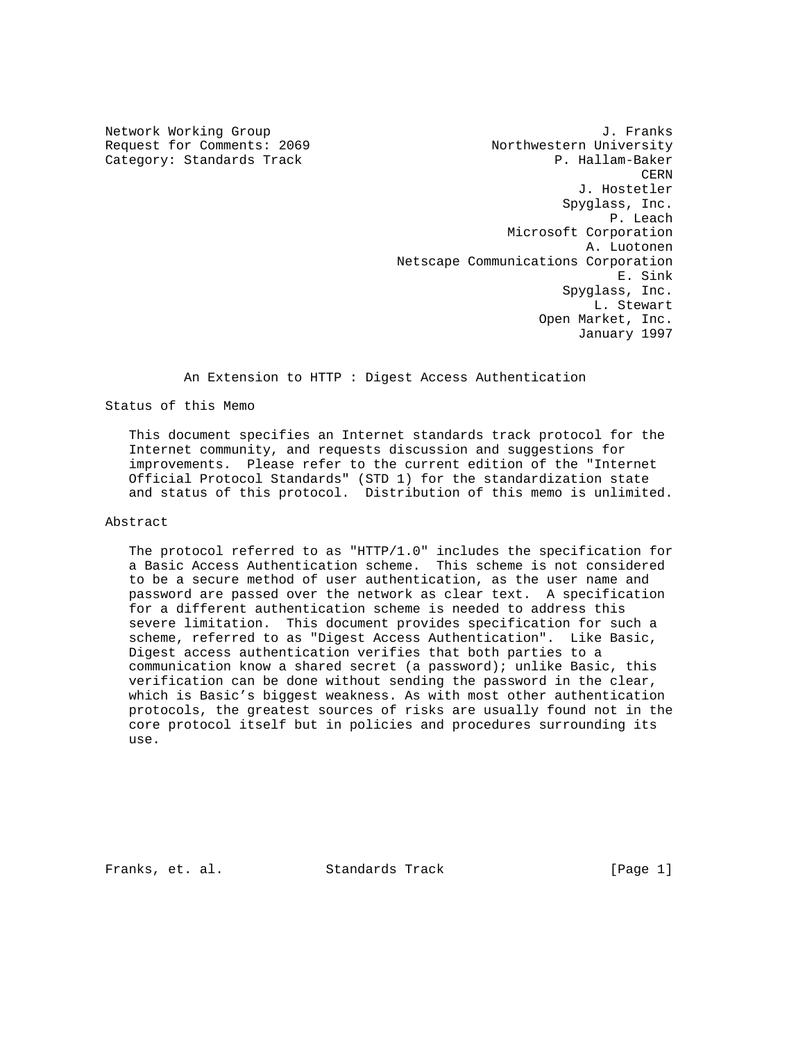Network Working Group 3. The Section of the U.S. of the U.S. of the U.S. of the U.S. of the U.S. of the U.S. of the U.S. of the U.S. of the U.S. of the U.S. of the U.S. of the U.S. of the U.S. of the U.S. of the U.S. of th Request for Comments: 2069 Northwestern University Category: Standards Track P. Hallam-Baker **CERN CERN**  J. Hostetler Spyglass, Inc. **P.** Leach the state of the state of the state of the state of the state of the state of the state of the state of the state of the state of the state of the state of the state of the state of the state of the state of the Microsoft Corporation A. Luotonen Netscape Communications Corporation E. Sink Spyglass, Inc. L. Stewart Open Market, Inc. January 1997

An Extension to HTTP : Digest Access Authentication

Status of this Memo

 This document specifies an Internet standards track protocol for the Internet community, and requests discussion and suggestions for improvements. Please refer to the current edition of the "Internet Official Protocol Standards" (STD 1) for the standardization state and status of this protocol. Distribution of this memo is unlimited.

Abstract

 The protocol referred to as "HTTP/1.0" includes the specification for a Basic Access Authentication scheme. This scheme is not considered to be a secure method of user authentication, as the user name and password are passed over the network as clear text. A specification for a different authentication scheme is needed to address this severe limitation. This document provides specification for such a scheme, referred to as "Digest Access Authentication". Like Basic, Digest access authentication verifies that both parties to a communication know a shared secret (a password); unlike Basic, this verification can be done without sending the password in the clear, which is Basic's biggest weakness. As with most other authentication protocols, the greatest sources of risks are usually found not in the core protocol itself but in policies and procedures surrounding its use.

Franks, et. al. Standards Track [Page 1]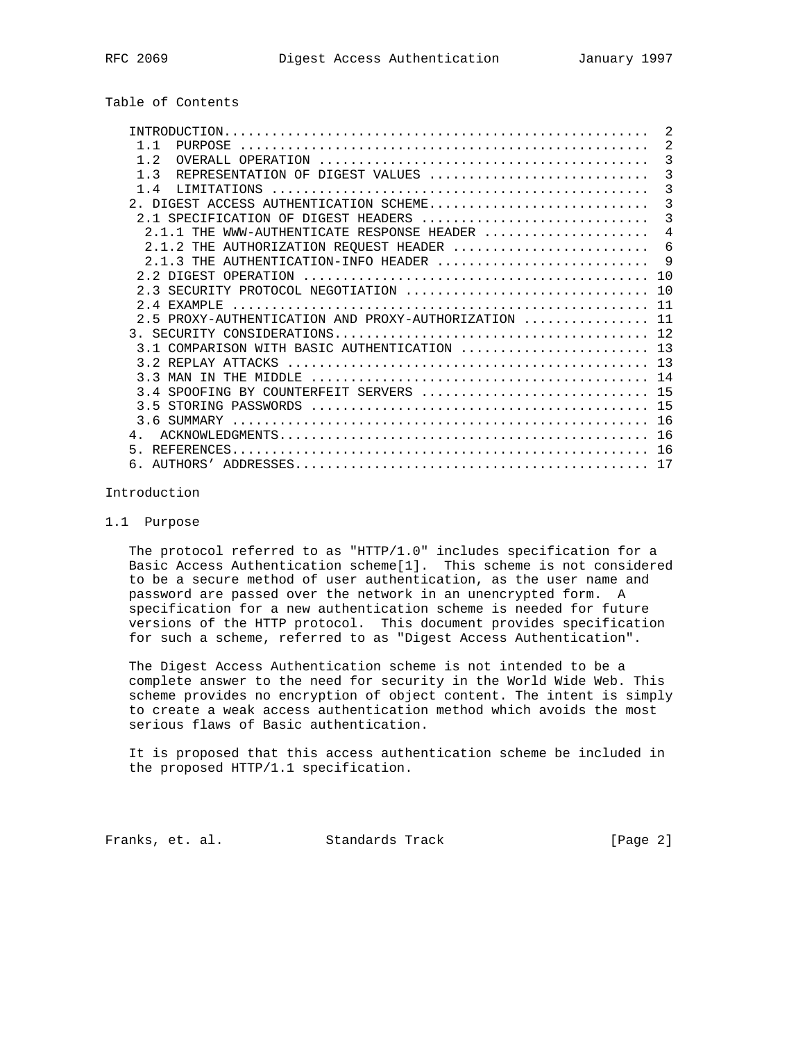# Table of Contents

| 2                                            |
|----------------------------------------------|
| 2                                            |
| 3                                            |
| 3                                            |
| $\overline{3}$                               |
| 3                                            |
| 3                                            |
| $\overline{4}$                               |
| 6                                            |
| - 9                                          |
|                                              |
| 10                                           |
| 11                                           |
| 11                                           |
| 12                                           |
| 3.1 COMPARISON WITH BASIC AUTHENTICATION  13 |
| 13                                           |
|                                              |
| 15                                           |
|                                              |
| 16                                           |
| 16                                           |
| 16                                           |
|                                              |
|                                              |

## Introduction

## 1.1 Purpose

 The protocol referred to as "HTTP/1.0" includes specification for a Basic Access Authentication scheme[1]. This scheme is not considered to be a secure method of user authentication, as the user name and password are passed over the network in an unencrypted form. A specification for a new authentication scheme is needed for future versions of the HTTP protocol. This document provides specification for such a scheme, referred to as "Digest Access Authentication".

 The Digest Access Authentication scheme is not intended to be a complete answer to the need for security in the World Wide Web. This scheme provides no encryption of object content. The intent is simply to create a weak access authentication method which avoids the most serious flaws of Basic authentication.

 It is proposed that this access authentication scheme be included in the proposed HTTP/1.1 specification.

Franks, et. al. Standards Track [Page 2]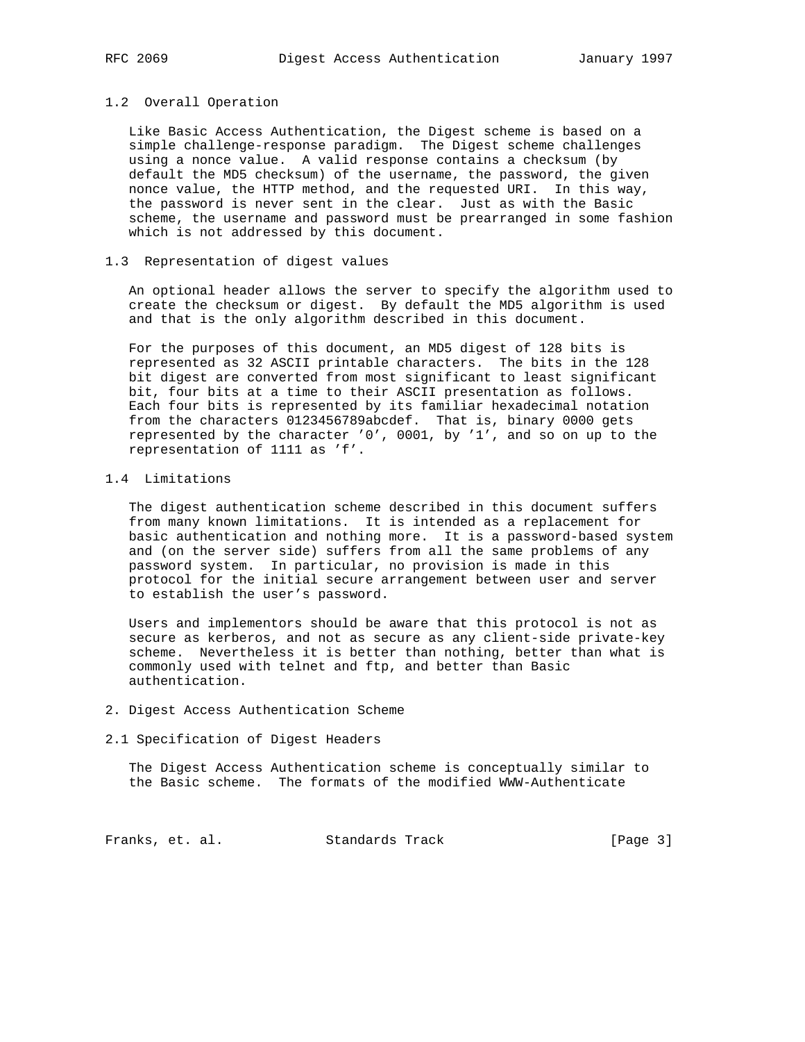### 1.2 Overall Operation

 Like Basic Access Authentication, the Digest scheme is based on a simple challenge-response paradigm. The Digest scheme challenges using a nonce value. A valid response contains a checksum (by default the MD5 checksum) of the username, the password, the given nonce value, the HTTP method, and the requested URI. In this way, the password is never sent in the clear. Just as with the Basic scheme, the username and password must be prearranged in some fashion which is not addressed by this document.

## 1.3 Representation of digest values

 An optional header allows the server to specify the algorithm used to create the checksum or digest. By default the MD5 algorithm is used and that is the only algorithm described in this document.

 For the purposes of this document, an MD5 digest of 128 bits is represented as 32 ASCII printable characters. The bits in the 128 bit digest are converted from most significant to least significant bit, four bits at a time to their ASCII presentation as follows. Each four bits is represented by its familiar hexadecimal notation from the characters 0123456789abcdef. That is, binary 0000 gets represented by the character '0', 0001, by '1', and so on up to the representation of 1111 as 'f'.

## 1.4 Limitations

 The digest authentication scheme described in this document suffers from many known limitations. It is intended as a replacement for basic authentication and nothing more. It is a password-based system and (on the server side) suffers from all the same problems of any password system. In particular, no provision is made in this protocol for the initial secure arrangement between user and server to establish the user's password.

 Users and implementors should be aware that this protocol is not as secure as kerberos, and not as secure as any client-side private-key scheme. Nevertheless it is better than nothing, better than what is commonly used with telnet and ftp, and better than Basic authentication.

### 2. Digest Access Authentication Scheme

#### 2.1 Specification of Digest Headers

 The Digest Access Authentication scheme is conceptually similar to the Basic scheme. The formats of the modified WWW-Authenticate

Franks, et. al. Standards Track [Page 3]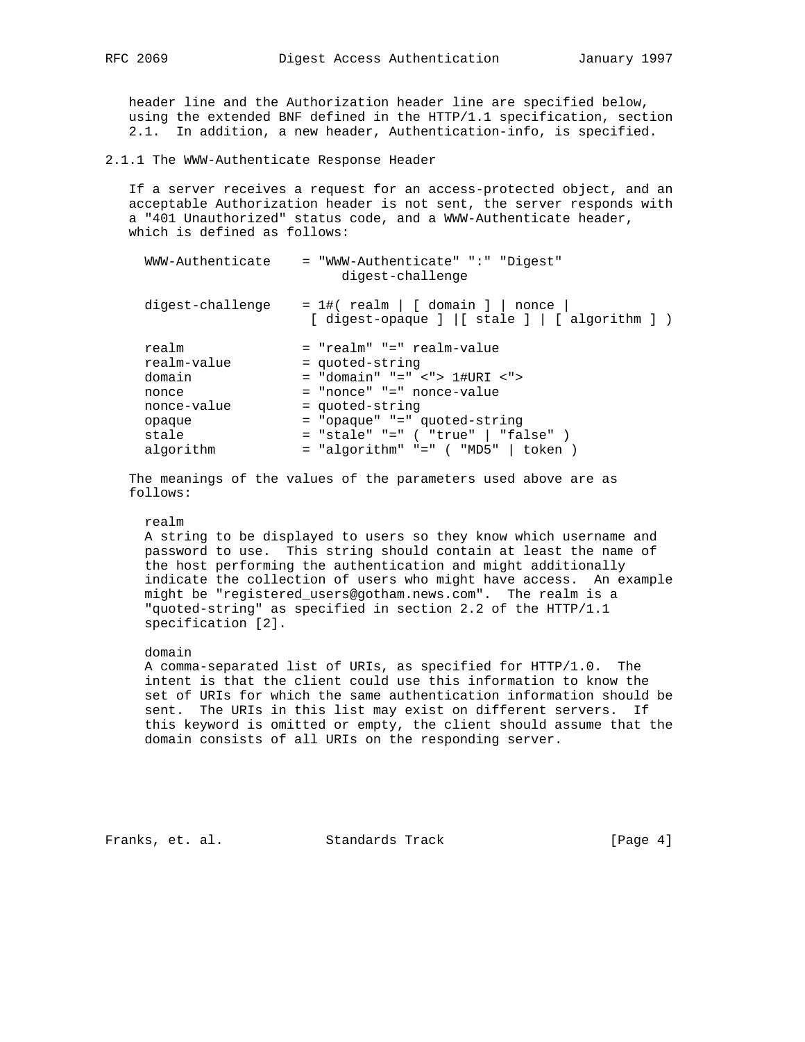header line and the Authorization header line are specified below, using the extended BNF defined in the HTTP/1.1 specification, section 2.1. In addition, a new header, Authentication-info, is specified.

2.1.1 The WWW-Authenticate Response Header

 If a server receives a request for an access-protected object, and an acceptable Authorization header is not sent, the server responds with a "401 Unauthorized" status code, and a WWW-Authenticate header, which is defined as follows:

| WWW-Authenticate                                       | = "WWW-Authenticate" ":" "Digest"<br>digest-challenge                                                                          |
|--------------------------------------------------------|--------------------------------------------------------------------------------------------------------------------------------|
| digest-challenge                                       | $= 1$ #( realm   [ domain ]   nonce<br>$[ \text{ digest-opause} ] [ \text{ state} ] [ \text{ algebra} ] )$                     |
| realm<br>realm-value<br>domain<br>nonce<br>nonce-value | = "realm" "=" realm-value<br>= quoted-string<br>$=$ "domain" "=" <"> 1#URI <"><br>= "nonce" "=" nonce-value<br>= quoted-string |
| opaque                                                 | = "opaque" "=" quoted-string                                                                                                   |
| stale                                                  | $=$ "stale" "=" ( "true"   "false" )                                                                                           |
| algorithm                                              | $=$ "algorithm" "=" ( "MD5"   token )                                                                                          |
|                                                        |                                                                                                                                |

 The meanings of the values of the parameters used above are as follows:

#### realm

 A string to be displayed to users so they know which username and password to use. This string should contain at least the name of the host performing the authentication and might additionally indicate the collection of users who might have access. An example might be "registered\_users@gotham.news.com". The realm is a "quoted-string" as specified in section 2.2 of the HTTP/1.1 specification [2].

#### domain

 A comma-separated list of URIs, as specified for HTTP/1.0. The intent is that the client could use this information to know the set of URIs for which the same authentication information should be sent. The URIs in this list may exist on different servers. If this keyword is omitted or empty, the client should assume that the domain consists of all URIs on the responding server.

Franks, et. al. Standards Track [Page 4]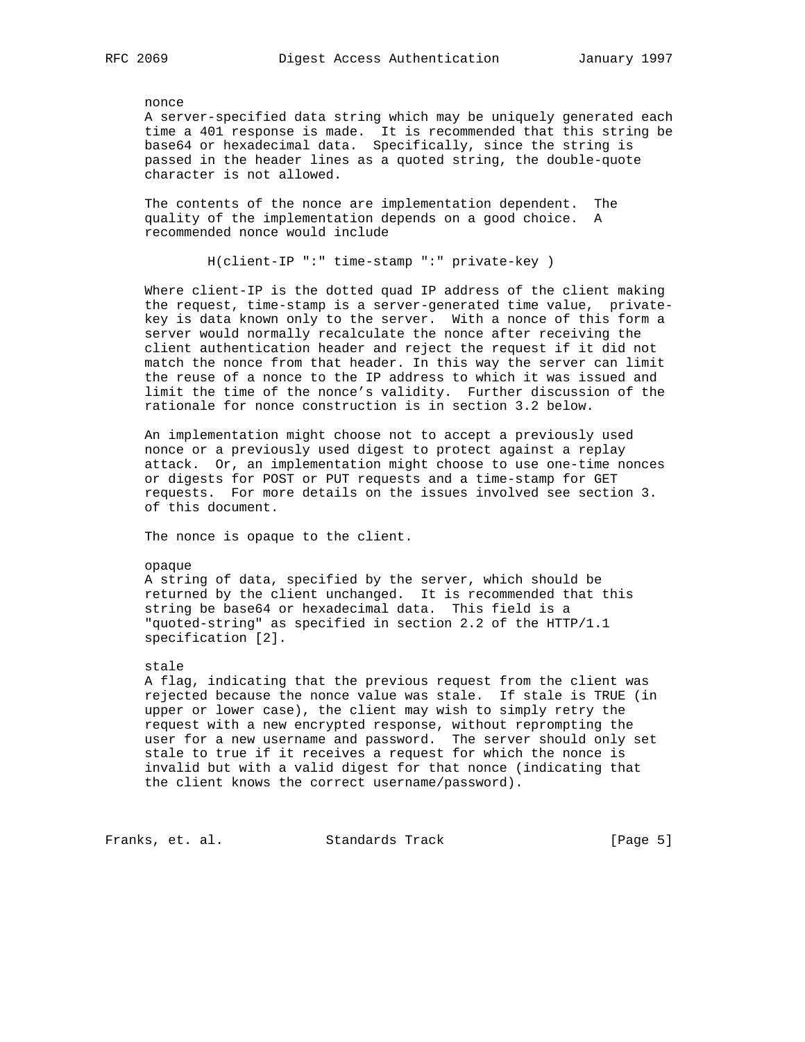nonce

 A server-specified data string which may be uniquely generated each time a 401 response is made. It is recommended that this string be base64 or hexadecimal data. Specifically, since the string is passed in the header lines as a quoted string, the double-quote character is not allowed.

 The contents of the nonce are implementation dependent. The quality of the implementation depends on a good choice. A recommended nonce would include

H(client-IP ":" time-stamp ":" private-key )

 Where client-IP is the dotted quad IP address of the client making the request, time-stamp is a server-generated time value, private key is data known only to the server. With a nonce of this form a server would normally recalculate the nonce after receiving the client authentication header and reject the request if it did not match the nonce from that header. In this way the server can limit the reuse of a nonce to the IP address to which it was issued and limit the time of the nonce's validity. Further discussion of the rationale for nonce construction is in section 3.2 below.

 An implementation might choose not to accept a previously used nonce or a previously used digest to protect against a replay attack. Or, an implementation might choose to use one-time nonces or digests for POST or PUT requests and a time-stamp for GET requests. For more details on the issues involved see section 3. of this document.

The nonce is opaque to the client.

#### opaque

 A string of data, specified by the server, which should be returned by the client unchanged. It is recommended that this string be base64 or hexadecimal data. This field is a "quoted-string" as specified in section 2.2 of the HTTP/1.1 specification [2].

#### stale

 A flag, indicating that the previous request from the client was rejected because the nonce value was stale. If stale is TRUE (in upper or lower case), the client may wish to simply retry the request with a new encrypted response, without reprompting the user for a new username and password. The server should only set stale to true if it receives a request for which the nonce is invalid but with a valid digest for that nonce (indicating that the client knows the correct username/password).

Franks, et. al. Standards Track [Page 5]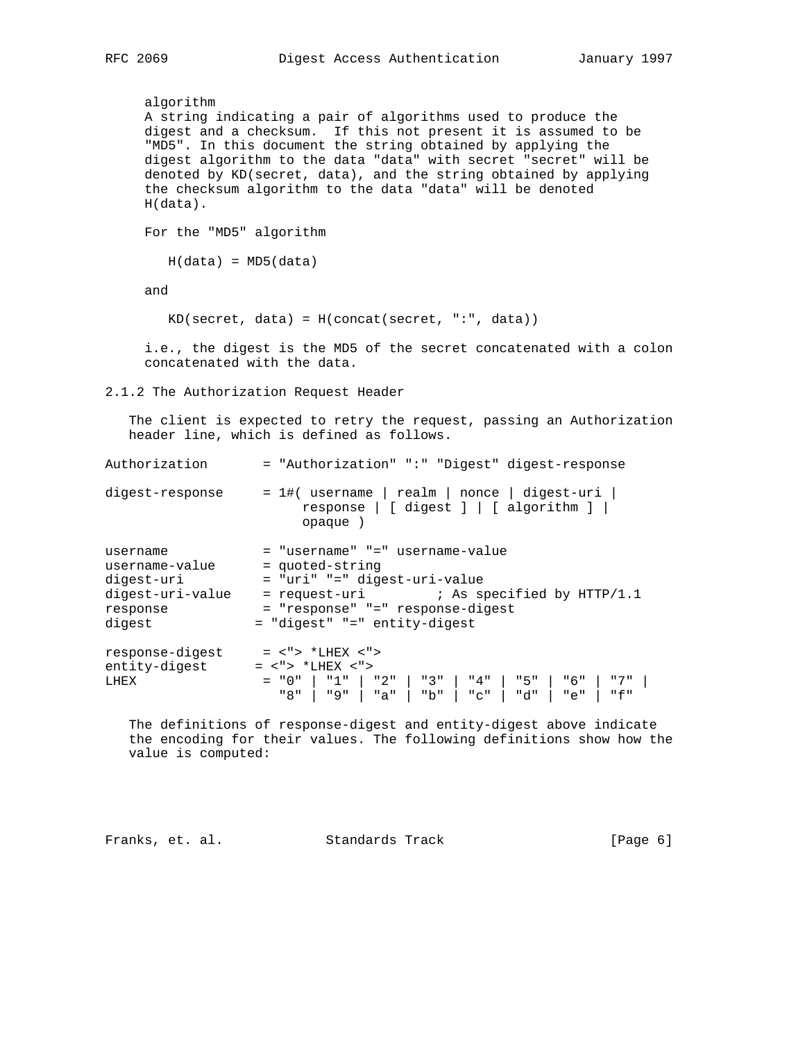```
 algorithm
     A string indicating a pair of algorithms used to produce the
     digest and a checksum. If this not present it is assumed to be
     "MD5". In this document the string obtained by applying the
     digest algorithm to the data "data" with secret "secret" will be
     denoted by KD(secret, data), and the string obtained by applying
     the checksum algorithm to the data "data" will be denoted
     H(data).
     For the "MD5" algorithm
       H(data) = MD5(data) and
        KD(secret, data) = H(concat(secret, ":", data))
     i.e., the digest is the MD5 of the secret concatenated with a colon
     concatenated with the data.
2.1.2 The Authorization Request Header
   The client is expected to retry the request, passing an Authorization
   header line, which is defined as follows.
Authorization = "Authorization" ":" "Digest" digest-response
digest-response = 1\# (username | realm | nonce | digest-uri |
                        response | [ digest ] | [ algorithm ] |
                        opaque )
username = "username" "=" username-value
username-value = quoted-string
digest-uri = "uri" "=" digest-uri-value
digest-uri-value = request-uri ; As specified by HTTP/1.1
response = "response" "=" response-digest
digest = "digest" "=" entity-digest
response-digest = <"> *LHEX <">
entity-digest = <"> *LHEX <">
LHEX = "0" | "1" | "2" | "3" | "4" | "5" | "6" | "7" |
 "8" | "9" | "a" | "b" | "c" | "d" | "e" | "f"
   The definitions of response-digest and entity-digest above indicate
   the encoding for their values. The following definitions show how the
   value is computed:
```
Franks, et. al. Standards Track [Page 6]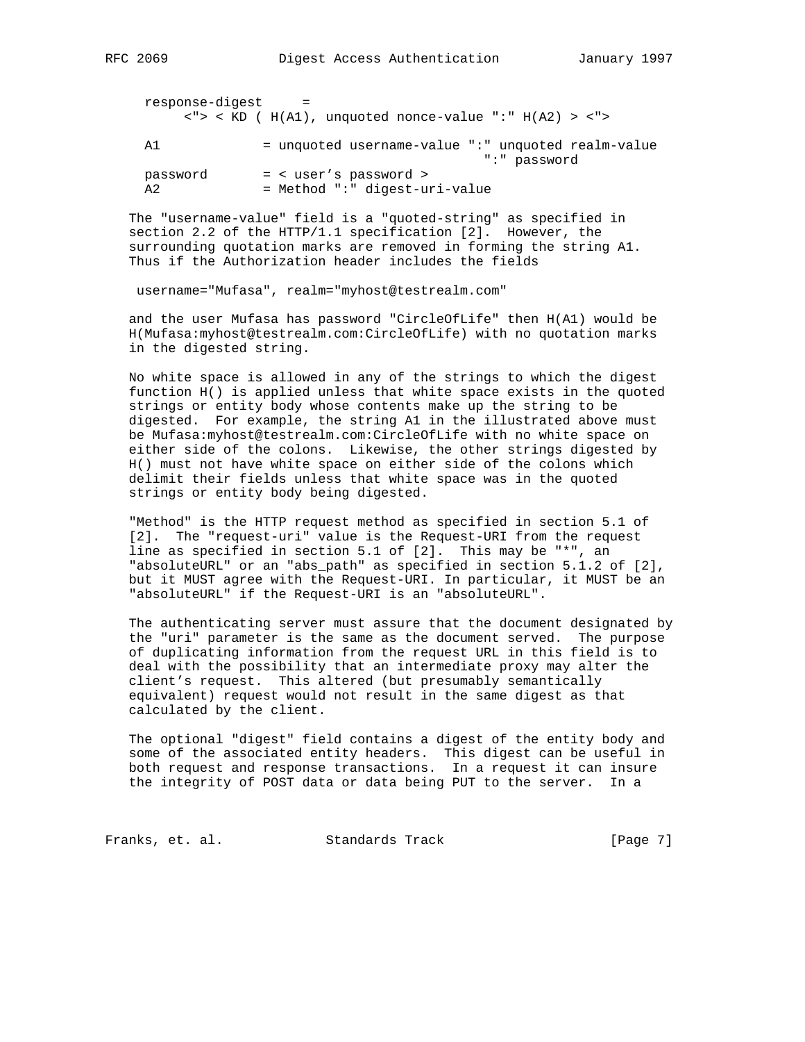| response-digest | - = |                                                                 |  |  |  |
|-----------------|-----|-----------------------------------------------------------------|--|--|--|
|                 |     | $\langle$ "> < KD ( H(A1), unquoted nonce-value ":" H(A2) > <"> |  |  |  |

 A1 = unquoted username-value ":" unquoted realm-value ":" password password = < user's password > A2 = Method ":" digest-uri-value

 The "username-value" field is a "quoted-string" as specified in section 2.2 of the HTTP/1.1 specification [2]. However, the surrounding quotation marks are removed in forming the string A1. Thus if the Authorization header includes the fields

username="Mufasa", realm="myhost@testrealm.com"

 and the user Mufasa has password "CircleOfLife" then H(A1) would be H(Mufasa:myhost@testrealm.com:CircleOfLife) with no quotation marks in the digested string.

 No white space is allowed in any of the strings to which the digest function H() is applied unless that white space exists in the quoted strings or entity body whose contents make up the string to be digested. For example, the string A1 in the illustrated above must be Mufasa:myhost@testrealm.com:CircleOfLife with no white space on either side of the colons. Likewise, the other strings digested by H() must not have white space on either side of the colons which delimit their fields unless that white space was in the quoted strings or entity body being digested.

 "Method" is the HTTP request method as specified in section 5.1 of [2]. The "request-uri" value is the Request-URI from the request line as specified in section 5.1 of [2]. This may be "\*", an "absoluteURL" or an "abs\_path" as specified in section 5.1.2 of [2], but it MUST agree with the Request-URI. In particular, it MUST be an "absoluteURL" if the Request-URI is an "absoluteURL".

 The authenticating server must assure that the document designated by the "uri" parameter is the same as the document served. The purpose of duplicating information from the request URL in this field is to deal with the possibility that an intermediate proxy may alter the client's request. This altered (but presumably semantically equivalent) request would not result in the same digest as that calculated by the client.

 The optional "digest" field contains a digest of the entity body and some of the associated entity headers. This digest can be useful in both request and response transactions. In a request it can insure the integrity of POST data or data being PUT to the server. In a

Franks, et. al. Standards Track [Page 7]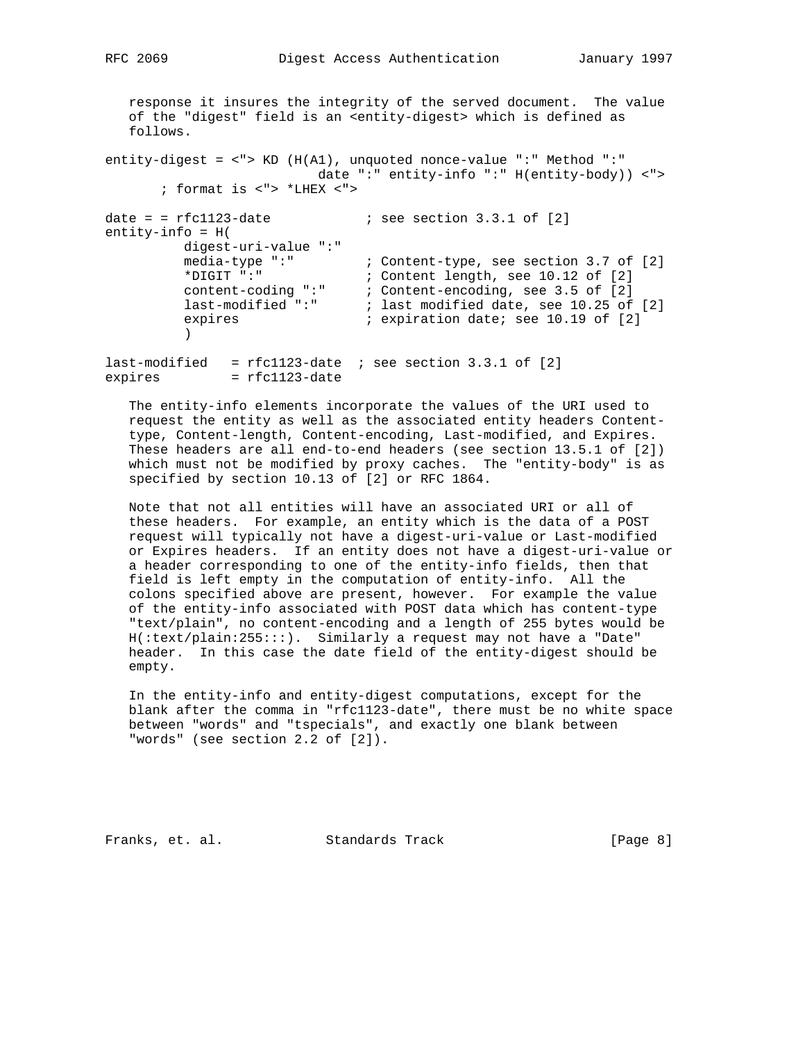response it insures the integrity of the served document. The value of the "digest" field is an <entity-digest> which is defined as follows.

```
entity-digest = <"> KD (H(A1), unquoted nonce-value ":" Method ":"
                            date ":" entity-info ":" H(entity-body)) <">
        ; format is <"> *LHEX <">
```
date =  $rfc1123$ -date  $\qquad \qquad$  ; see section 3.3.1 of [2] entity-info = H( digest-uri-value ":" ; Content-type, see section 3.7 of [2] \*DIGIT ":" ; content length, see 10.12 of [2] content-coding ":" ; Content-encoding, see 3.5 of [2] last-modified ":" ; last modified date, see 10.25 of [2] expires  $\begin{array}{ccc} i & \text{expiration date} & i \\ j & \text{expiration date} & i \end{array}$ )

last-modified =  $rfc1123$ -date ; see section 3.3.1 of [2] expires = rfc1123-date

 The entity-info elements incorporate the values of the URI used to request the entity as well as the associated entity headers Content type, Content-length, Content-encoding, Last-modified, and Expires. These headers are all end-to-end headers (see section 13.5.1 of [2]) which must not be modified by proxy caches. The "entity-body" is as specified by section 10.13 of [2] or RFC 1864.

 Note that not all entities will have an associated URI or all of these headers. For example, an entity which is the data of a POST request will typically not have a digest-uri-value or Last-modified or Expires headers. If an entity does not have a digest-uri-value or a header corresponding to one of the entity-info fields, then that field is left empty in the computation of entity-info. All the colons specified above are present, however. For example the value of the entity-info associated with POST data which has content-type "text/plain", no content-encoding and a length of 255 bytes would be H(:text/plain:255:::). Similarly a request may not have a "Date" header. In this case the date field of the entity-digest should be empty.

 In the entity-info and entity-digest computations, except for the blank after the comma in "rfc1123-date", there must be no white space between "words" and "tspecials", and exactly one blank between "words" (see section 2.2 of [2]).

Franks, et. al. Standards Track [Page 8]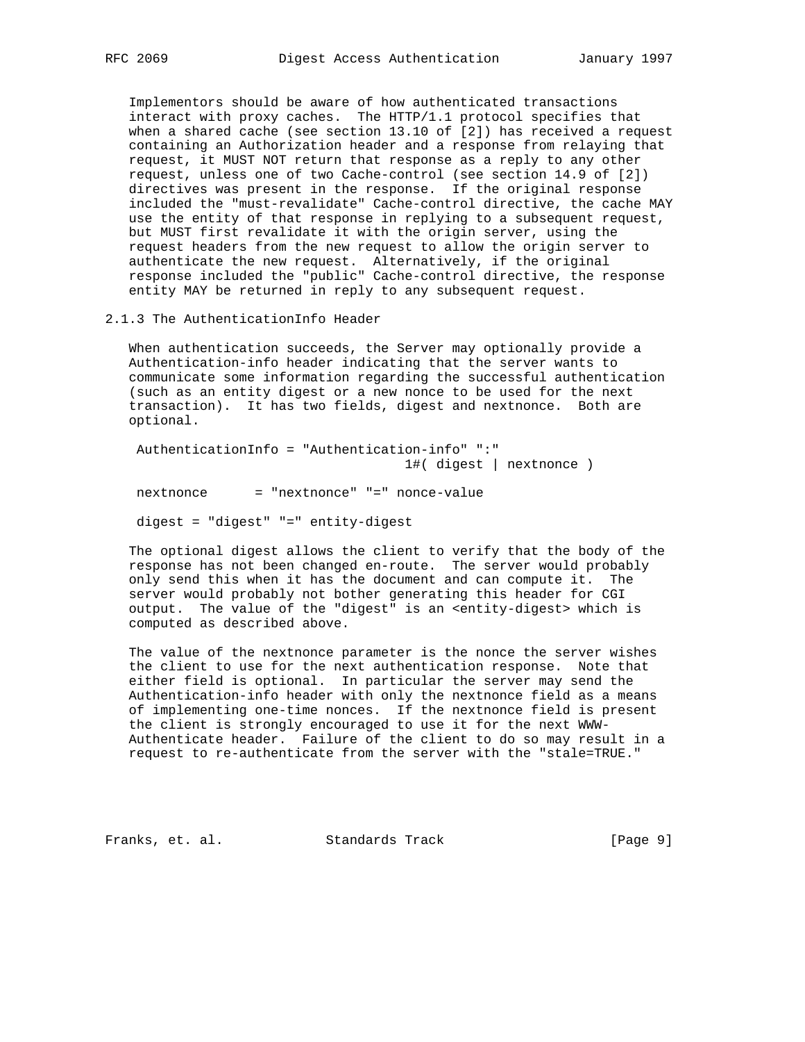Implementors should be aware of how authenticated transactions interact with proxy caches. The HTTP/1.1 protocol specifies that when a shared cache (see section 13.10 of [2]) has received a request containing an Authorization header and a response from relaying that request, it MUST NOT return that response as a reply to any other request, unless one of two Cache-control (see section 14.9 of [2]) directives was present in the response. If the original response included the "must-revalidate" Cache-control directive, the cache MAY use the entity of that response in replying to a subsequent request, but MUST first revalidate it with the origin server, using the request headers from the new request to allow the origin server to authenticate the new request. Alternatively, if the original response included the "public" Cache-control directive, the response entity MAY be returned in reply to any subsequent request.

2.1.3 The AuthenticationInfo Header

 When authentication succeeds, the Server may optionally provide a Authentication-info header indicating that the server wants to communicate some information regarding the successful authentication (such as an entity digest or a new nonce to be used for the next transaction). It has two fields, digest and nextnonce. Both are optional.

 AuthenticationInfo = "Authentication-info" ":" 1#( digest | nextnonce )

nextnonce = "nextnonce" "=" nonce-value

digest = "digest" "=" entity-digest

 The optional digest allows the client to verify that the body of the response has not been changed en-route. The server would probably only send this when it has the document and can compute it. The server would probably not bother generating this header for CGI output. The value of the "digest" is an <entity-digest> which is computed as described above.

 The value of the nextnonce parameter is the nonce the server wishes the client to use for the next authentication response. Note that either field is optional. In particular the server may send the Authentication-info header with only the nextnonce field as a means of implementing one-time nonces. If the nextnonce field is present the client is strongly encouraged to use it for the next WWW- Authenticate header. Failure of the client to do so may result in a request to re-authenticate from the server with the "stale=TRUE."

Franks, et. al. Standards Track [Page 9]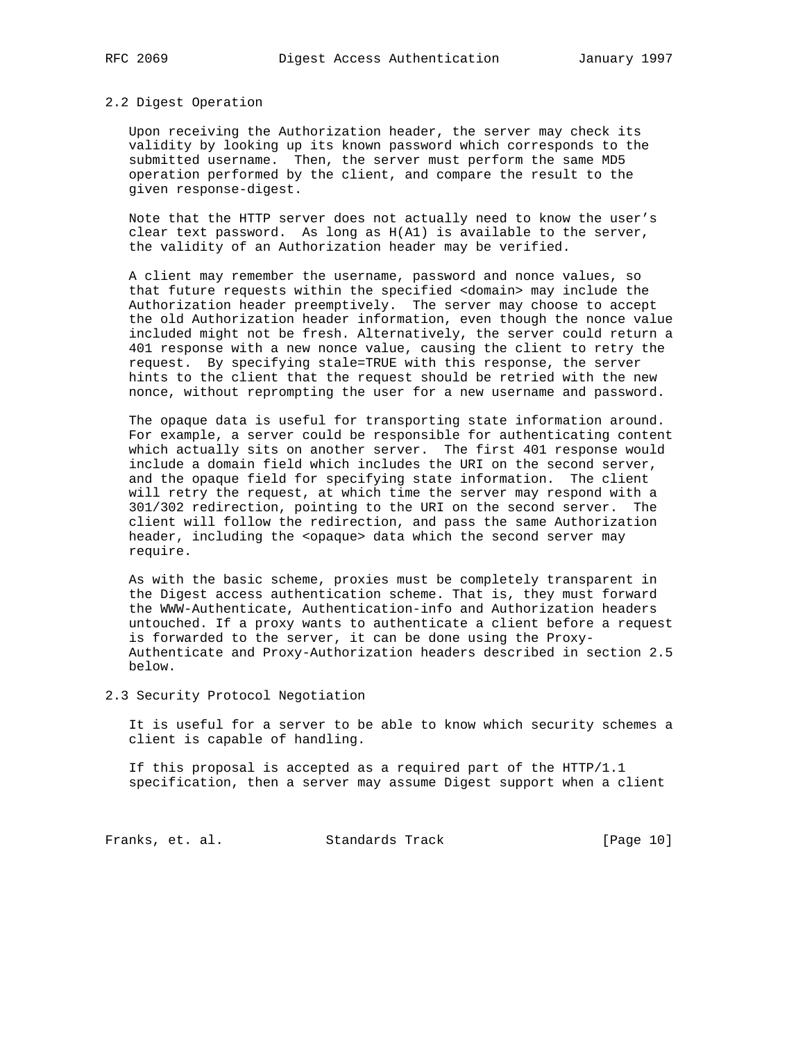### 2.2 Digest Operation

 Upon receiving the Authorization header, the server may check its validity by looking up its known password which corresponds to the submitted username. Then, the server must perform the same MD5 operation performed by the client, and compare the result to the given response-digest.

 Note that the HTTP server does not actually need to know the user's clear text password. As long as H(A1) is available to the server, the validity of an Authorization header may be verified.

 A client may remember the username, password and nonce values, so that future requests within the specified <domain> may include the Authorization header preemptively. The server may choose to accept the old Authorization header information, even though the nonce value included might not be fresh. Alternatively, the server could return a 401 response with a new nonce value, causing the client to retry the request. By specifying stale=TRUE with this response, the server hints to the client that the request should be retried with the new nonce, without reprompting the user for a new username and password.

 The opaque data is useful for transporting state information around. For example, a server could be responsible for authenticating content which actually sits on another server. The first 401 response would include a domain field which includes the URI on the second server, and the opaque field for specifying state information. The client will retry the request, at which time the server may respond with a 301/302 redirection, pointing to the URI on the second server. The client will follow the redirection, and pass the same Authorization header, including the <opaque> data which the second server may require.

 As with the basic scheme, proxies must be completely transparent in the Digest access authentication scheme. That is, they must forward the WWW-Authenticate, Authentication-info and Authorization headers untouched. If a proxy wants to authenticate a client before a request is forwarded to the server, it can be done using the Proxy- Authenticate and Proxy-Authorization headers described in section 2.5 below.

2.3 Security Protocol Negotiation

 It is useful for a server to be able to know which security schemes a client is capable of handling.

 If this proposal is accepted as a required part of the HTTP/1.1 specification, then a server may assume Digest support when a client

Franks, et. al. Standards Track [Page 10]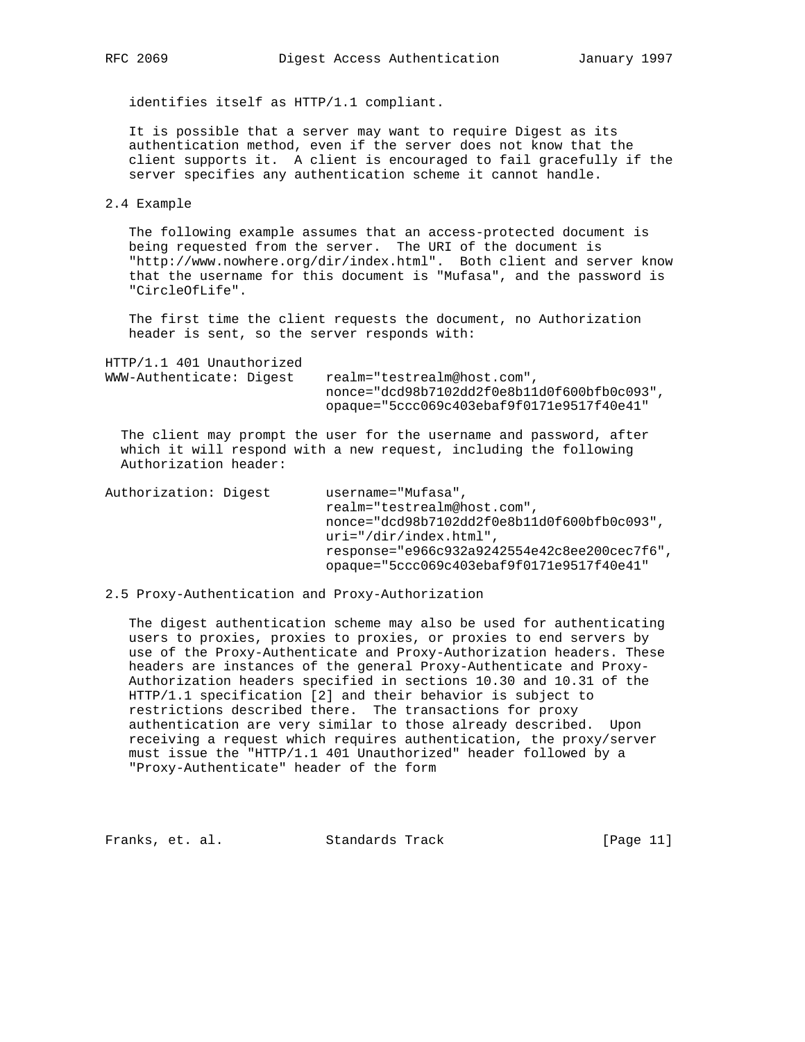identifies itself as HTTP/1.1 compliant.

 It is possible that a server may want to require Digest as its authentication method, even if the server does not know that the client supports it. A client is encouraged to fail gracefully if the server specifies any authentication scheme it cannot handle.

2.4 Example

 The following example assumes that an access-protected document is being requested from the server. The URI of the document is "http://www.nowhere.org/dir/index.html". Both client and server know that the username for this document is "Mufasa", and the password is "CircleOfLife".

 The first time the client requests the document, no Authorization header is sent, so the server responds with:

| HTTP/1.1 401 Unauthorized |                                               |
|---------------------------|-----------------------------------------------|
| WWW-Authenticate: Digest  | realm="testrealm@host.com",                   |
|                           | $nonce="dcd98b7102dd2f0e8b11d0f600bfb0c093".$ |
|                           | $opaque = "5ccc069c403ebaf9f0171e9517f40e41"$ |

 The client may prompt the user for the username and password, after which it will respond with a new request, including the following Authorization header:

Authorization: Digest username="Mufasa", realm="testrealm@host.com", nonce="dcd98b7102dd2f0e8b11d0f600bfb0c093", uri="/dir/index.html", response="e966c932a9242554e42c8ee200cec7f6", opaque="5ccc069c403ebaf9f0171e9517f40e41"

2.5 Proxy-Authentication and Proxy-Authorization

 The digest authentication scheme may also be used for authenticating users to proxies, proxies to proxies, or proxies to end servers by use of the Proxy-Authenticate and Proxy-Authorization headers. These headers are instances of the general Proxy-Authenticate and Proxy- Authorization headers specified in sections 10.30 and 10.31 of the HTTP/1.1 specification [2] and their behavior is subject to restrictions described there. The transactions for proxy authentication are very similar to those already described. Upon receiving a request which requires authentication, the proxy/server must issue the "HTTP/1.1 401 Unauthorized" header followed by a "Proxy-Authenticate" header of the form

Franks, et. al. Standards Track [Page 11]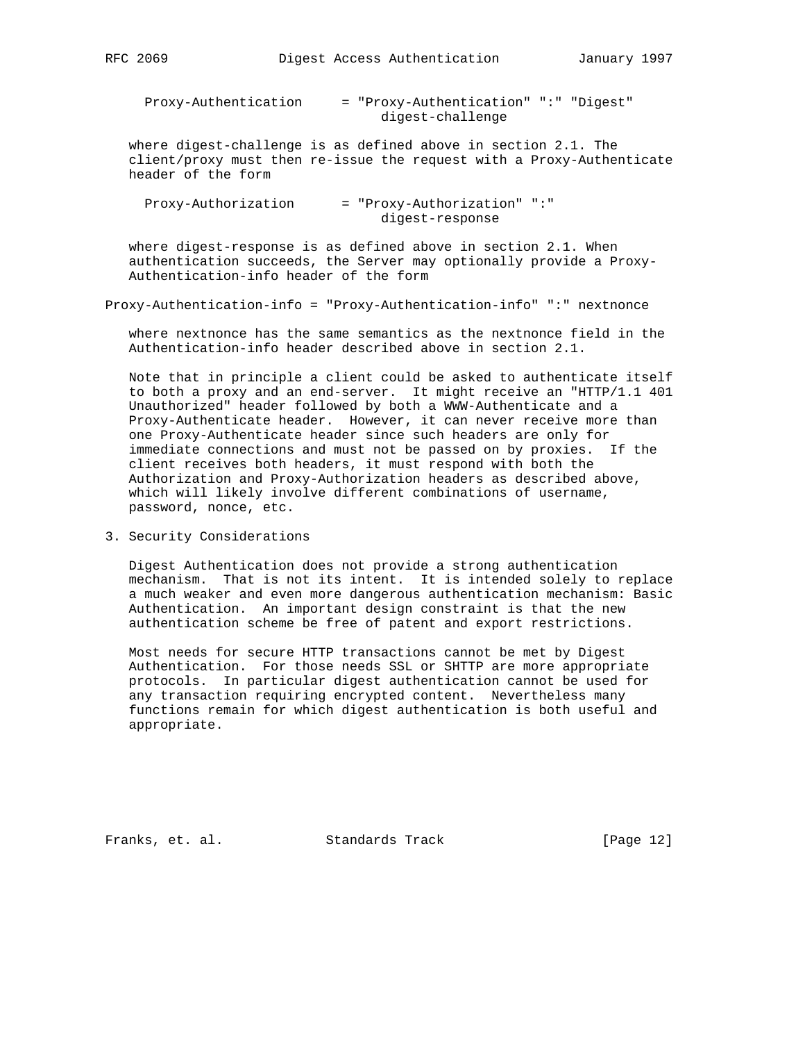| Proxy-Authentication | = "Proxy-Authentication" ":" "Digest" |  |
|----------------------|---------------------------------------|--|
|                      | digest-challenge                      |  |

 where digest-challenge is as defined above in section 2.1. The client/proxy must then re-issue the request with a Proxy-Authenticate header of the form

| Proxy-Authorization | = "Proxy-Authorization" ":" |
|---------------------|-----------------------------|
|                     | digest-response             |

 where digest-response is as defined above in section 2.1. When authentication succeeds, the Server may optionally provide a Proxy- Authentication-info header of the form

Proxy-Authentication-info = "Proxy-Authentication-info" ":" nextnonce

 where nextnonce has the same semantics as the nextnonce field in the Authentication-info header described above in section 2.1.

 Note that in principle a client could be asked to authenticate itself to both a proxy and an end-server. It might receive an "HTTP/1.1 401 Unauthorized" header followed by both a WWW-Authenticate and a Proxy-Authenticate header. However, it can never receive more than one Proxy-Authenticate header since such headers are only for immediate connections and must not be passed on by proxies. If the client receives both headers, it must respond with both the Authorization and Proxy-Authorization headers as described above, which will likely involve different combinations of username, password, nonce, etc.

3. Security Considerations

 Digest Authentication does not provide a strong authentication mechanism. That is not its intent. It is intended solely to replace a much weaker and even more dangerous authentication mechanism: Basic Authentication. An important design constraint is that the new authentication scheme be free of patent and export restrictions.

 Most needs for secure HTTP transactions cannot be met by Digest Authentication. For those needs SSL or SHTTP are more appropriate protocols. In particular digest authentication cannot be used for any transaction requiring encrypted content. Nevertheless many functions remain for which digest authentication is both useful and appropriate.

Franks, et. al. Standards Track [Page 12]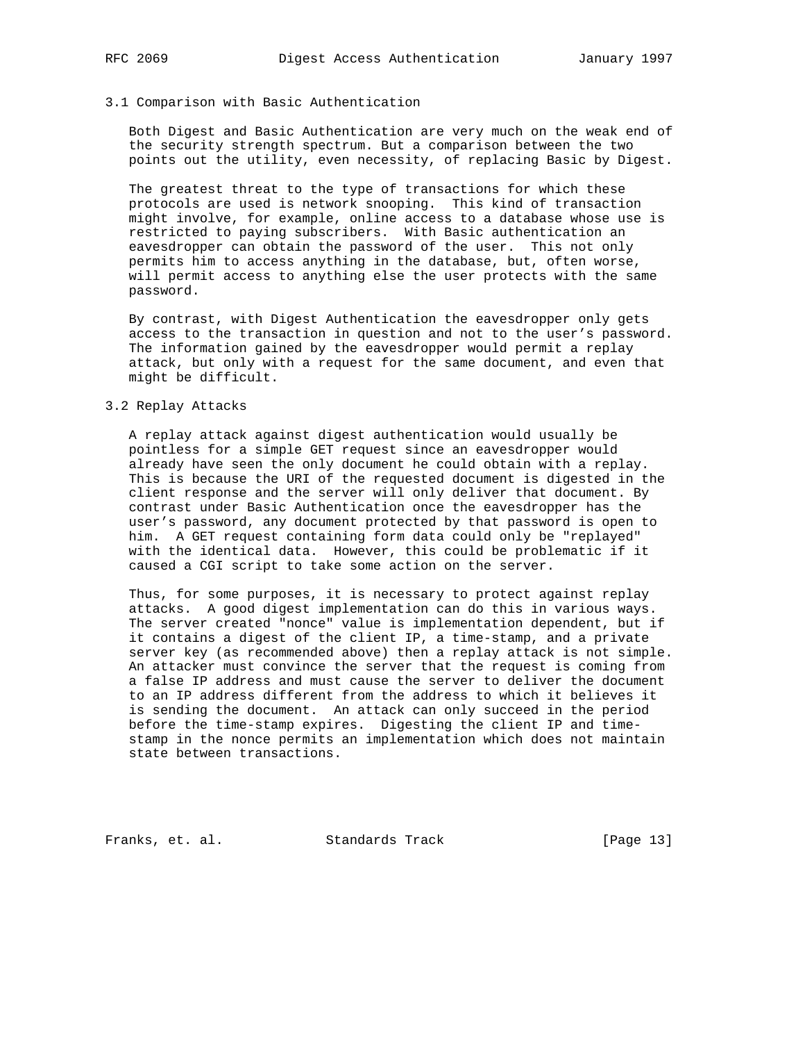## 3.1 Comparison with Basic Authentication

 Both Digest and Basic Authentication are very much on the weak end of the security strength spectrum. But a comparison between the two points out the utility, even necessity, of replacing Basic by Digest.

 The greatest threat to the type of transactions for which these protocols are used is network snooping. This kind of transaction might involve, for example, online access to a database whose use is restricted to paying subscribers. With Basic authentication an eavesdropper can obtain the password of the user. This not only permits him to access anything in the database, but, often worse, will permit access to anything else the user protects with the same password.

 By contrast, with Digest Authentication the eavesdropper only gets access to the transaction in question and not to the user's password. The information gained by the eavesdropper would permit a replay attack, but only with a request for the same document, and even that might be difficult.

## 3.2 Replay Attacks

 A replay attack against digest authentication would usually be pointless for a simple GET request since an eavesdropper would already have seen the only document he could obtain with a replay. This is because the URI of the requested document is digested in the client response and the server will only deliver that document. By contrast under Basic Authentication once the eavesdropper has the user's password, any document protected by that password is open to him. A GET request containing form data could only be "replayed" with the identical data. However, this could be problematic if it caused a CGI script to take some action on the server.

 Thus, for some purposes, it is necessary to protect against replay attacks. A good digest implementation can do this in various ways. The server created "nonce" value is implementation dependent, but if it contains a digest of the client IP, a time-stamp, and a private server key (as recommended above) then a replay attack is not simple. An attacker must convince the server that the request is coming from a false IP address and must cause the server to deliver the document to an IP address different from the address to which it believes it is sending the document. An attack can only succeed in the period before the time-stamp expires. Digesting the client IP and time stamp in the nonce permits an implementation which does not maintain state between transactions.

Franks, et. al. Standards Track [Page 13]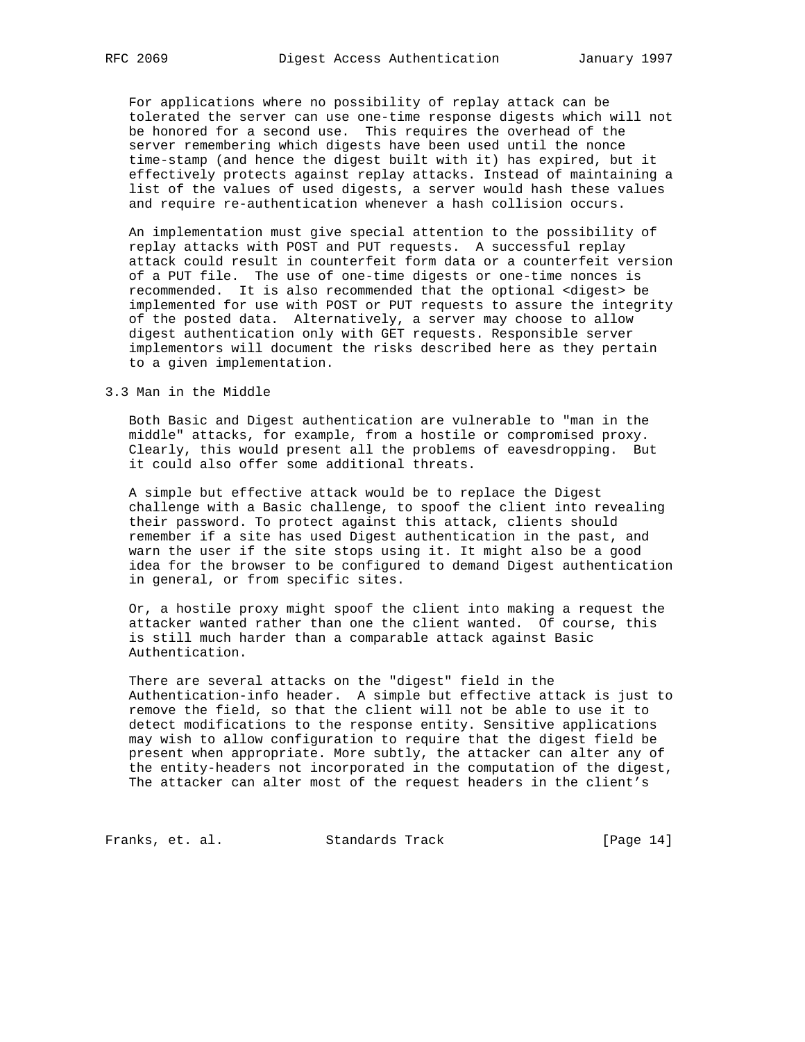For applications where no possibility of replay attack can be tolerated the server can use one-time response digests which will not be honored for a second use. This requires the overhead of the server remembering which digests have been used until the nonce time-stamp (and hence the digest built with it) has expired, but it effectively protects against replay attacks. Instead of maintaining a list of the values of used digests, a server would hash these values and require re-authentication whenever a hash collision occurs.

 An implementation must give special attention to the possibility of replay attacks with POST and PUT requests. A successful replay attack could result in counterfeit form data or a counterfeit version of a PUT file. The use of one-time digests or one-time nonces is recommended. It is also recommended that the optional <digest> be implemented for use with POST or PUT requests to assure the integrity of the posted data. Alternatively, a server may choose to allow digest authentication only with GET requests. Responsible server implementors will document the risks described here as they pertain to a given implementation.

## 3.3 Man in the Middle

 Both Basic and Digest authentication are vulnerable to "man in the middle" attacks, for example, from a hostile or compromised proxy. Clearly, this would present all the problems of eavesdropping. But it could also offer some additional threats.

 A simple but effective attack would be to replace the Digest challenge with a Basic challenge, to spoof the client into revealing their password. To protect against this attack, clients should remember if a site has used Digest authentication in the past, and warn the user if the site stops using it. It might also be a good idea for the browser to be configured to demand Digest authentication in general, or from specific sites.

 Or, a hostile proxy might spoof the client into making a request the attacker wanted rather than one the client wanted. Of course, this is still much harder than a comparable attack against Basic Authentication.

 There are several attacks on the "digest" field in the Authentication-info header. A simple but effective attack is just to remove the field, so that the client will not be able to use it to detect modifications to the response entity. Sensitive applications may wish to allow configuration to require that the digest field be present when appropriate. More subtly, the attacker can alter any of the entity-headers not incorporated in the computation of the digest, The attacker can alter most of the request headers in the client's

Franks, et. al. Standards Track [Page 14]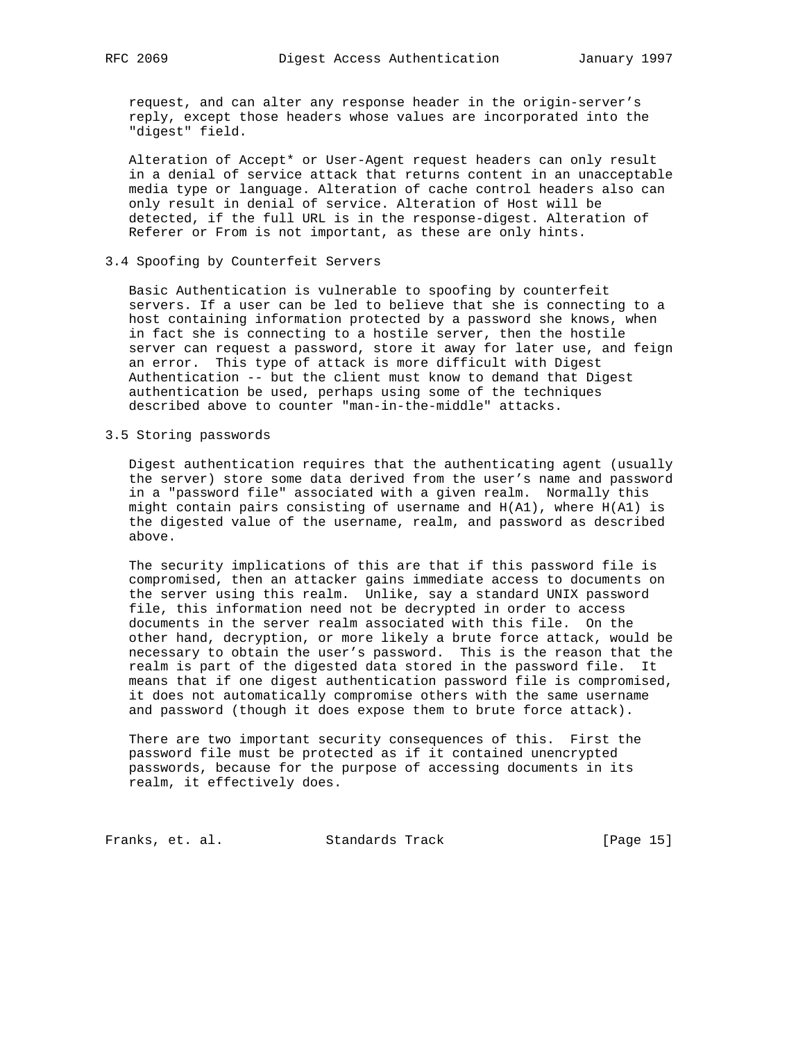request, and can alter any response header in the origin-server's reply, except those headers whose values are incorporated into the "digest" field.

 Alteration of Accept\* or User-Agent request headers can only result in a denial of service attack that returns content in an unacceptable media type or language. Alteration of cache control headers also can only result in denial of service. Alteration of Host will be detected, if the full URL is in the response-digest. Alteration of Referer or From is not important, as these are only hints.

## 3.4 Spoofing by Counterfeit Servers

 Basic Authentication is vulnerable to spoofing by counterfeit servers. If a user can be led to believe that she is connecting to a host containing information protected by a password she knows, when in fact she is connecting to a hostile server, then the hostile server can request a password, store it away for later use, and feign an error. This type of attack is more difficult with Digest Authentication -- but the client must know to demand that Digest authentication be used, perhaps using some of the techniques described above to counter "man-in-the-middle" attacks.

## 3.5 Storing passwords

 Digest authentication requires that the authenticating agent (usually the server) store some data derived from the user's name and password in a "password file" associated with a given realm. Normally this might contain pairs consisting of username and H(A1), where H(A1) is the digested value of the username, realm, and password as described above.

 The security implications of this are that if this password file is compromised, then an attacker gains immediate access to documents on the server using this realm. Unlike, say a standard UNIX password file, this information need not be decrypted in order to access documents in the server realm associated with this file. On the other hand, decryption, or more likely a brute force attack, would be necessary to obtain the user's password. This is the reason that the realm is part of the digested data stored in the password file. It means that if one digest authentication password file is compromised, it does not automatically compromise others with the same username and password (though it does expose them to brute force attack).

 There are two important security consequences of this. First the password file must be protected as if it contained unencrypted passwords, because for the purpose of accessing documents in its realm, it effectively does.

Franks, et. al. Standards Track [Page 15]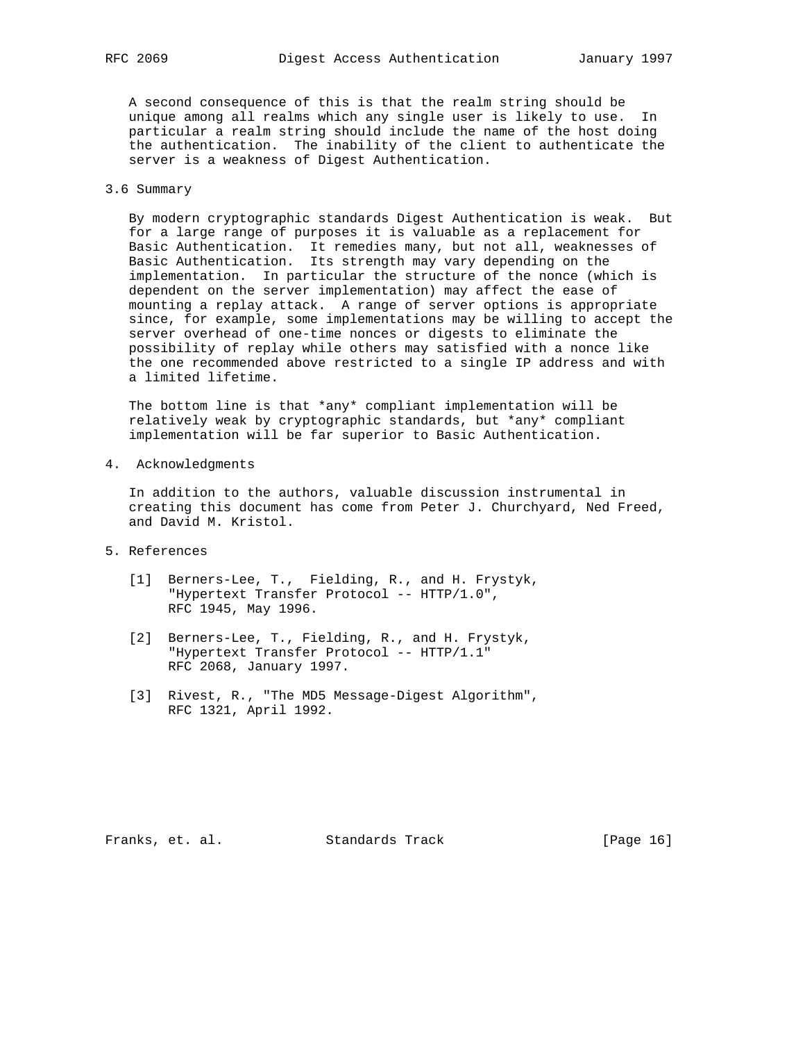A second consequence of this is that the realm string should be unique among all realms which any single user is likely to use. In particular a realm string should include the name of the host doing the authentication. The inability of the client to authenticate the server is a weakness of Digest Authentication.

## 3.6 Summary

 By modern cryptographic standards Digest Authentication is weak. But for a large range of purposes it is valuable as a replacement for Basic Authentication. It remedies many, but not all, weaknesses of Basic Authentication. Its strength may vary depending on the implementation. In particular the structure of the nonce (which is dependent on the server implementation) may affect the ease of mounting a replay attack. A range of server options is appropriate since, for example, some implementations may be willing to accept the server overhead of one-time nonces or digests to eliminate the possibility of replay while others may satisfied with a nonce like the one recommended above restricted to a single IP address and with a limited lifetime.

 The bottom line is that \*any\* compliant implementation will be relatively weak by cryptographic standards, but \*any\* compliant implementation will be far superior to Basic Authentication.

4. Acknowledgments

 In addition to the authors, valuable discussion instrumental in creating this document has come from Peter J. Churchyard, Ned Freed, and David M. Kristol.

- 5. References
	- [1] Berners-Lee, T., Fielding, R., and H. Frystyk, "Hypertext Transfer Protocol -- HTTP/1.0", RFC 1945, May 1996.
	- [2] Berners-Lee, T., Fielding, R., and H. Frystyk, "Hypertext Transfer Protocol -- HTTP/1.1" RFC 2068, January 1997.
	- [3] Rivest, R., "The MD5 Message-Digest Algorithm", RFC 1321, April 1992.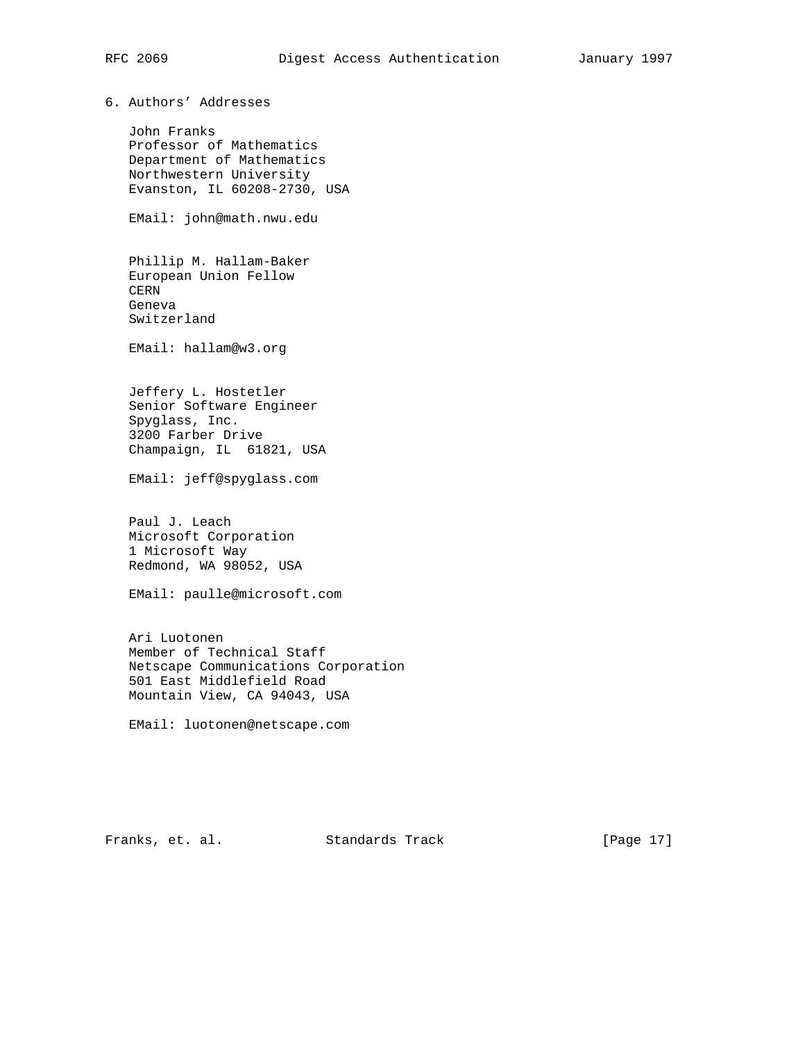6. Authors' Addresses

 John Franks Professor of Mathematics Department of Mathematics Northwestern University Evanston, IL 60208-2730, USA

EMail: john@math.nwu.edu

 Phillip M. Hallam-Baker European Union Fellow CERN Geneva Switzerland

EMail: hallam@w3.org

 Jeffery L. Hostetler Senior Software Engineer Spyglass, Inc. 3200 Farber Drive Champaign, IL 61821, USA

EMail: jeff@spyglass.com

 Paul J. Leach Microsoft Corporation 1 Microsoft Way Redmond, WA 98052, USA

EMail: paulle@microsoft.com

 Ari Luotonen Member of Technical Staff Netscape Communications Corporation 501 East Middlefield Road Mountain View, CA 94043, USA

EMail: luotonen@netscape.com

Franks, et. al. Standards Track [Page 17]